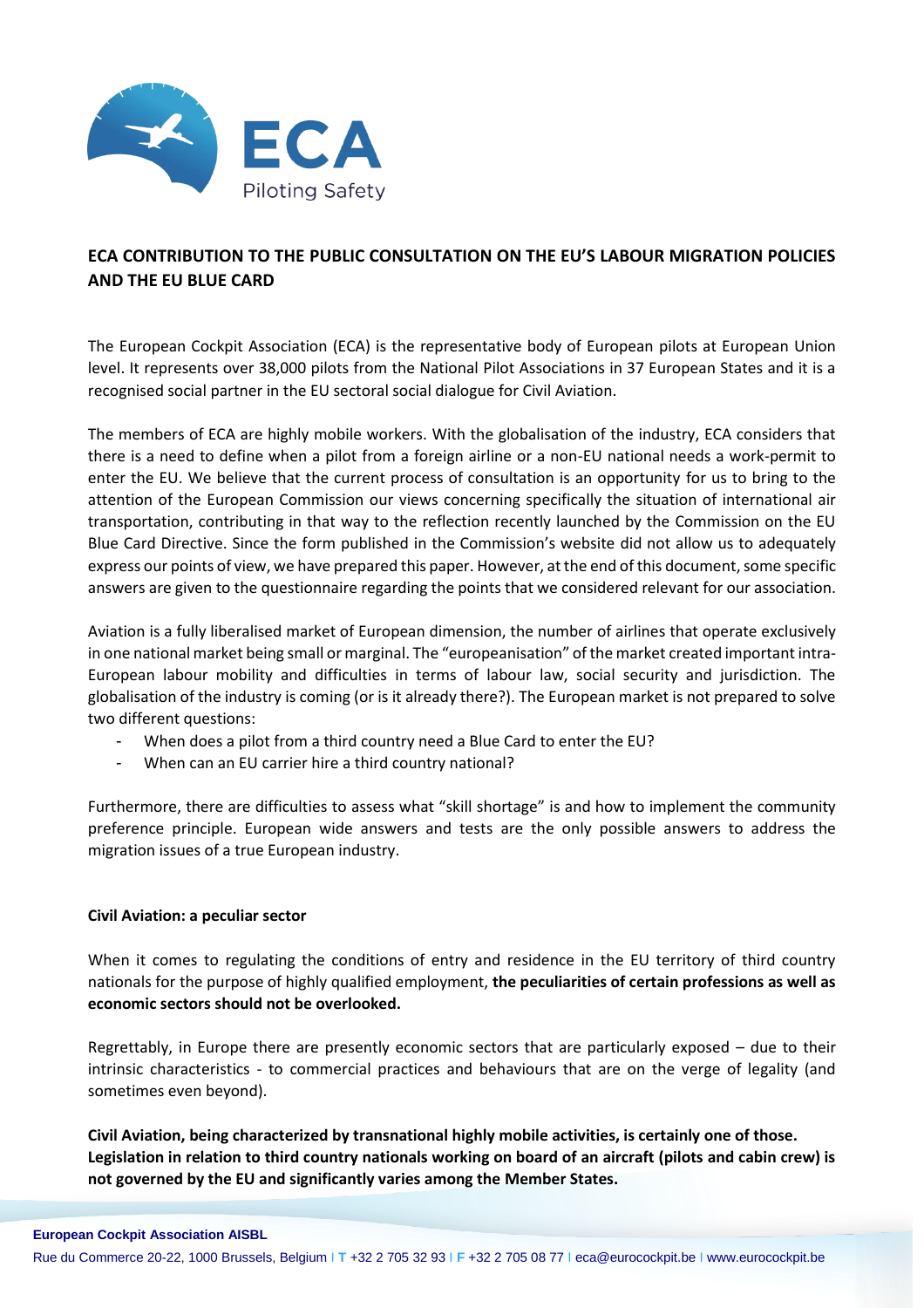

## **ECA CONTRIBUTION TO THE PUBLIC CONSULTATION ON THE EU'S LABOUR MIGRATION POLICIES AND THE EU BLUE CARD**

The European Cockpit Association (ECA) is the representative body of European pilots at European Union level. It represents over 38,000 pilots from the National Pilot Associations in 37 European States and it is a recognised social partner in the EU sectoral social dialogue for Civil Aviation.

The members of ECA are highly mobile workers. With the globalisation of the industry, ECA considers that there is a need to define when a pilot from a foreign airline or a non-EU national needs a work-permit to enter the EU. We believe that the current process of consultation is an opportunity for us to bring to the attention of the European Commission our views concerning specifically the situation of international air transportation, contributing in that way to the reflection recently launched by the Commission on the EU Blue Card Directive. Since the form published in the Commission's website did not allow us to adequately express our points of view, we have prepared this paper. However, at the end of this document, some specific answers are given to the questionnaire regarding the points that we considered relevant for our association.

Aviation is a fully liberalised market of European dimension, the number of airlines that operate exclusively in one national market being small or marginal. The "europeanisation" of the market created important intra-European labour mobility and difficulties in terms of labour law, social security and jurisdiction. The globalisation of the industry is coming (or is it already there?). The European market is not prepared to solve two different questions:

- When does a pilot from a third country need a Blue Card to enter the EU?
- When can an EU carrier hire a third country national?

Furthermore, there are difficulties to assess what "skill shortage" is and how to implement the community preference principle. European wide answers and tests are the only possible answers to address the migration issues of a true European industry.

## **Civil Aviation: a peculiar sector**

When it comes to regulating the conditions of entry and residence in the EU territory of third country nationals for the purpose of highly qualified employment, **the peculiarities of certain professions as well as economic sectors should not be overlooked.** 

Regrettably, in Europe there are presently economic sectors that are particularly exposed – due to their intrinsic characteristics - to commercial practices and behaviours that are on the verge of legality (and sometimes even beyond).

**Civil Aviation, being characterized by transnational highly mobile activities, is certainly one of those. Legislation in relation to third country nationals working on board of an aircraft (pilots and cabin crew) is not governed by the EU and significantly varies among the Member States.**

Rue du Commerce 20-22, 1000 Brussels, Belgium I **T** +32 2 705 32 93 I **F** +32 2 705 08 77 I eca@eurocockpit.be I www.eurocockpit.be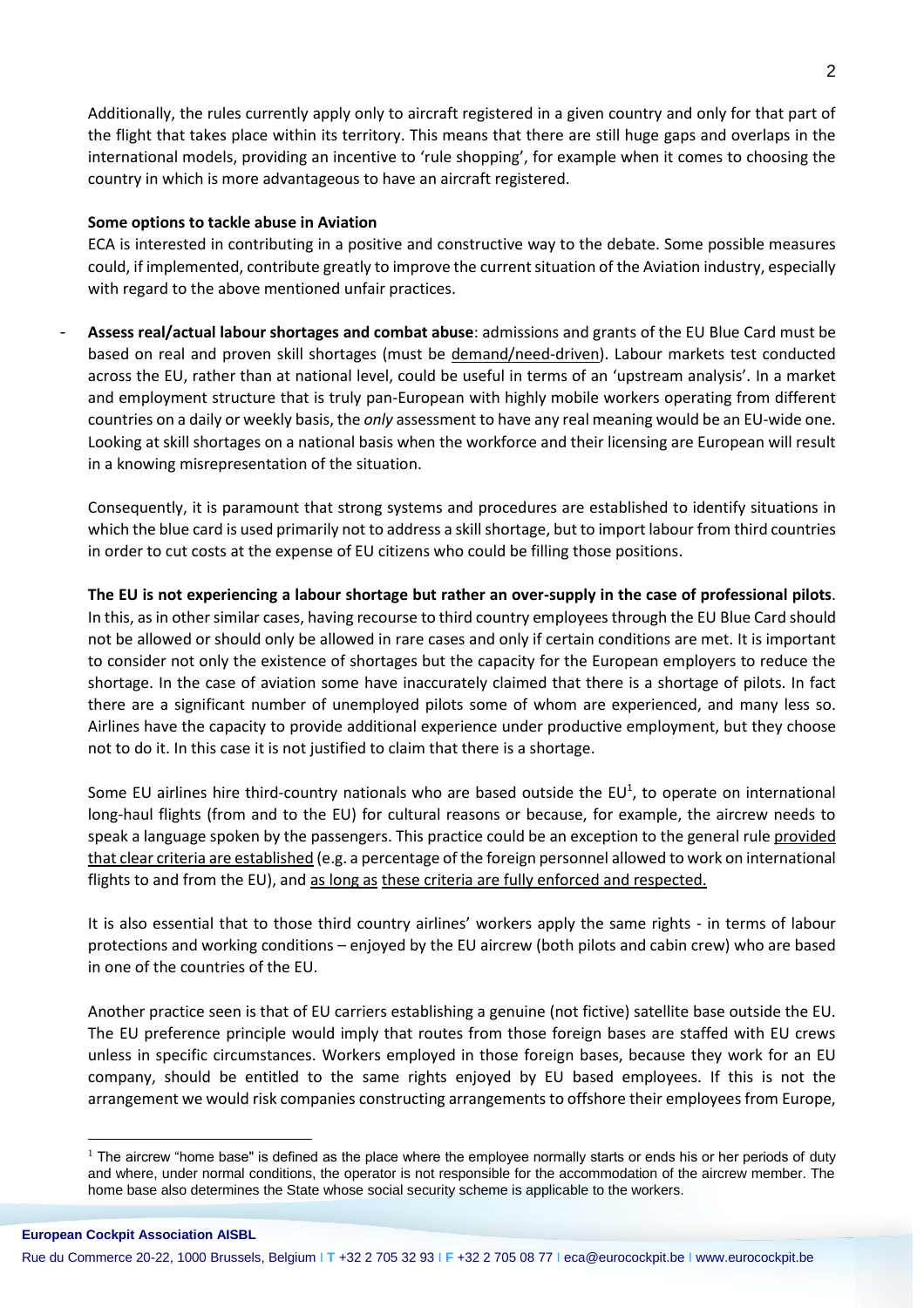Additionally, the rules currently apply only to aircraft registered in a given country and only for that part of the flight that takes place within its territory. This means that there are still huge gaps and overlaps in the international models, providing an incentive to 'rule shopping', for example when it comes to choosing the country in which is more advantageous to have an aircraft registered.

## **Some options to tackle abuse in Aviation**

ECA is interested in contributing in a positive and constructive way to the debate. Some possible measures could, if implemented, contribute greatly to improve the current situation of the Aviation industry, especially with regard to the above mentioned unfair practices.

- **Assess real/actual labour shortages and combat abuse**: admissions and grants of the EU Blue Card must be based on real and proven skill shortages (must be demand/need-driven). Labour markets test conducted across the EU, rather than at national level, could be useful in terms of an 'upstream analysis'. In a market and employment structure that is truly pan-European with highly mobile workers operating from different countries on a daily or weekly basis, the *only* assessment to have any real meaning would be an EU-wide one. Looking at skill shortages on a national basis when the workforce and their licensing are European will result in a knowing misrepresentation of the situation.

Consequently, it is paramount that strong systems and procedures are established to identify situations in which the blue card is used primarily not to address a skill shortage, but to import labour from third countries in order to cut costs at the expense of EU citizens who could be filling those positions.

**The EU is not experiencing a labour shortage but rather an over-supply in the case of professional pilots**. In this, as in other similar cases, having recourse to third country employees through the EU Blue Card should not be allowed or should only be allowed in rare cases and only if certain conditions are met. It is important to consider not only the existence of shortages but the capacity for the European employers to reduce the shortage. In the case of aviation some have inaccurately claimed that there is a shortage of pilots. In fact there are a significant number of unemployed pilots some of whom are experienced, and many less so. Airlines have the capacity to provide additional experience under productive employment, but they choose not to do it. In this case it is not justified to claim that there is a shortage.

Some EU airlines hire third-country nationals who are based outside the EU<sup>1</sup>, to operate on international long-haul flights (from and to the EU) for cultural reasons or because, for example, the aircrew needs to speak a language spoken by the passengers. This practice could be an exception to the general rule provided that clear criteria are established (e.g. a percentage of the foreign personnel allowed to work on international flights to and from the EU), and as long as these criteria are fully enforced and respected.

It is also essential that to those third country airlines' workers apply the same rights - in terms of labour protections and working conditions – enjoyed by the EU aircrew (both pilots and cabin crew) who are based in one of the countries of the EU.

Another practice seen is that of EU carriers establishing a genuine (not fictive) satellite base outside the EU. The EU preference principle would imply that routes from those foreign bases are staffed with EU crews unless in specific circumstances. Workers employed in those foreign bases, because they work for an EU company, should be entitled to the same rights enjoyed by EU based employees. If this is not the arrangement we would risk companies constructing arrangements to offshore their employees from Europe,

 $\overline{a}$ 

 $<sup>1</sup>$  The aircrew "home base" is defined as the place where the employee normally starts or ends his or her periods of duty</sup> and where, under normal conditions, the operator is not responsible for the accommodation of the aircrew member. The home base also determines the State whose social security scheme is applicable to the workers.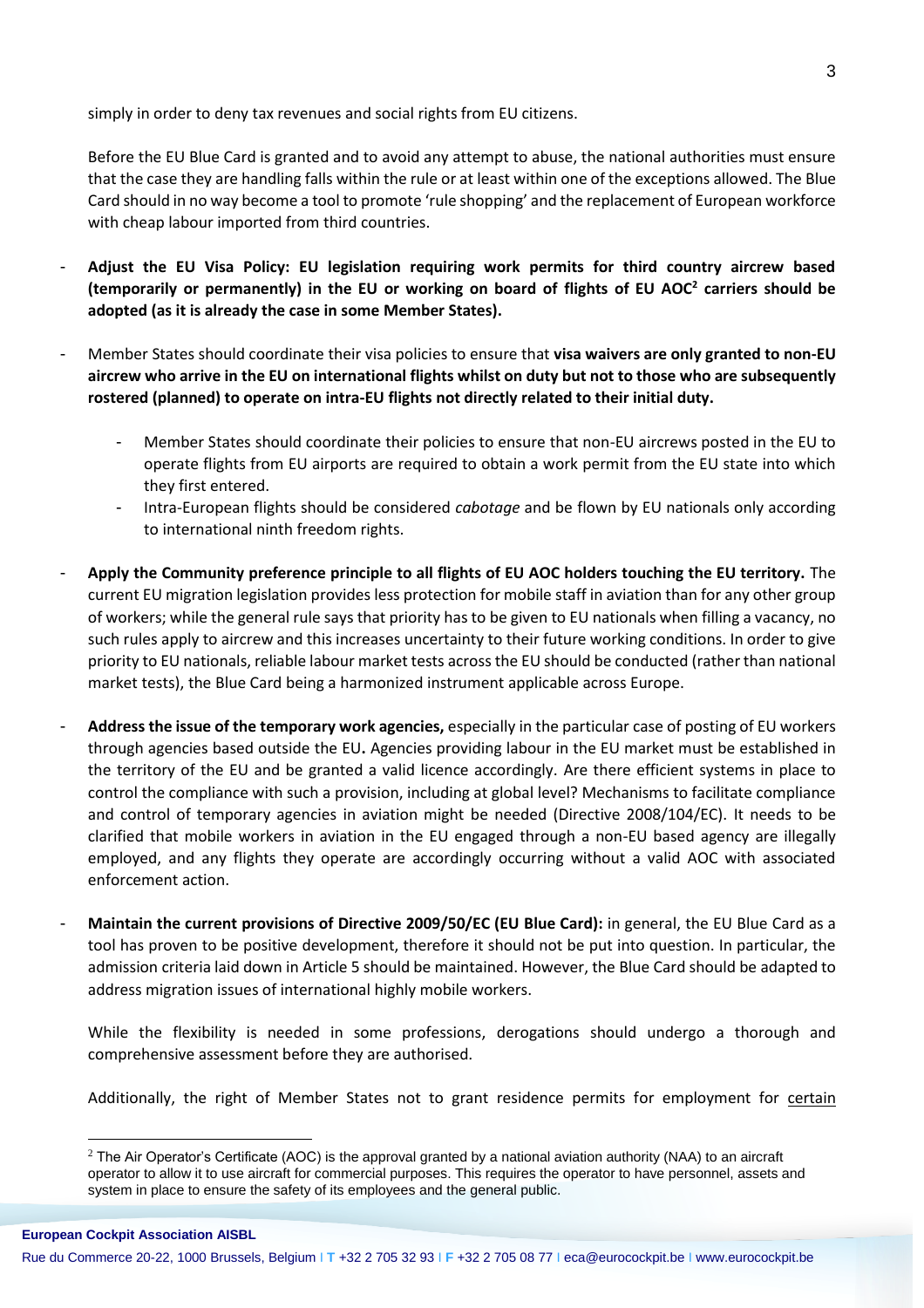simply in order to deny tax revenues and social rights from EU citizens.

Before the EU Blue Card is granted and to avoid any attempt to abuse, the national authorities must ensure that the case they are handling falls within the rule or at least within one of the exceptions allowed. The Blue Card should in no way become a tool to promote 'rule shopping' and the replacement of European workforce with cheap labour imported from third countries.

- **Adjust the EU Visa Policy: EU legislation requiring work permits for third country aircrew based (temporarily or permanently) in the EU or working on board of flights of EU AOC<sup>2</sup> carriers should be adopted (as it is already the case in some Member States).**
- Member States should coordinate their visa policies to ensure that **visa waivers are only granted to non-EU aircrew who arrive in the EU on international flights whilst on duty but not to those who are subsequently rostered (planned) to operate on intra-EU flights not directly related to their initial duty.** 
	- Member States should coordinate their policies to ensure that non-EU aircrews posted in the EU to operate flights from EU airports are required to obtain a work permit from the EU state into which they first entered.
	- Intra-European flights should be considered *cabotage* and be flown by EU nationals only according to international ninth freedom rights.
- **Apply the Community preference principle to all flights of EU AOC holders touching the EU territory.** The current EU migration legislation provides less protection for mobile staff in aviation than for any other group of workers; while the general rule says that priority has to be given to EU nationals when filling a vacancy, no such rules apply to aircrew and this increases uncertainty to their future working conditions. In order to give priority to EU nationals, reliable labour market tests across the EU should be conducted (rather than national market tests), the Blue Card being a harmonized instrument applicable across Europe.
- **Address the issue of the temporary work agencies,** especially in the particular case of posting of EU workers through agencies based outside the EU**.** Agencies providing labour in the EU market must be established in the territory of the EU and be granted a valid licence accordingly. Are there efficient systems in place to control the compliance with such a provision, including at global level? Mechanisms to facilitate compliance and control of temporary agencies in aviation might be needed (Directive 2008/104/EC). It needs to be clarified that mobile workers in aviation in the EU engaged through a non-EU based agency are illegally employed, and any flights they operate are accordingly occurring without a valid AOC with associated enforcement action.
- **Maintain the current provisions of Directive 2009/50/EC (EU Blue Card):** in general, the EU Blue Card as a tool has proven to be positive development, therefore it should not be put into question. In particular, the admission criteria laid down in Article 5 should be maintained. However, the Blue Card should be adapted to address migration issues of international highly mobile workers.

While the flexibility is needed in some professions, derogations should undergo a thorough and comprehensive assessment before they are authorised.

Additionally, the right of Member States not to grant residence permits for employment for certain

 $\overline{a}$ 

 $2$  The Air Operator's Certificate (AOC) is the approval granted by a national aviation authority (NAA) to an aircraft operator to allow it to use aircraft for commercial purposes. This requires the operator to have personnel, assets and system in place to ensure the safety of its employees and the general public.

Rue du Commerce 20-22, 1000 Brussels, Belgium I **T** +32 2 705 32 93 I **F** +32 2 705 08 77 I eca@eurocockpit.be I www.eurocockpit.be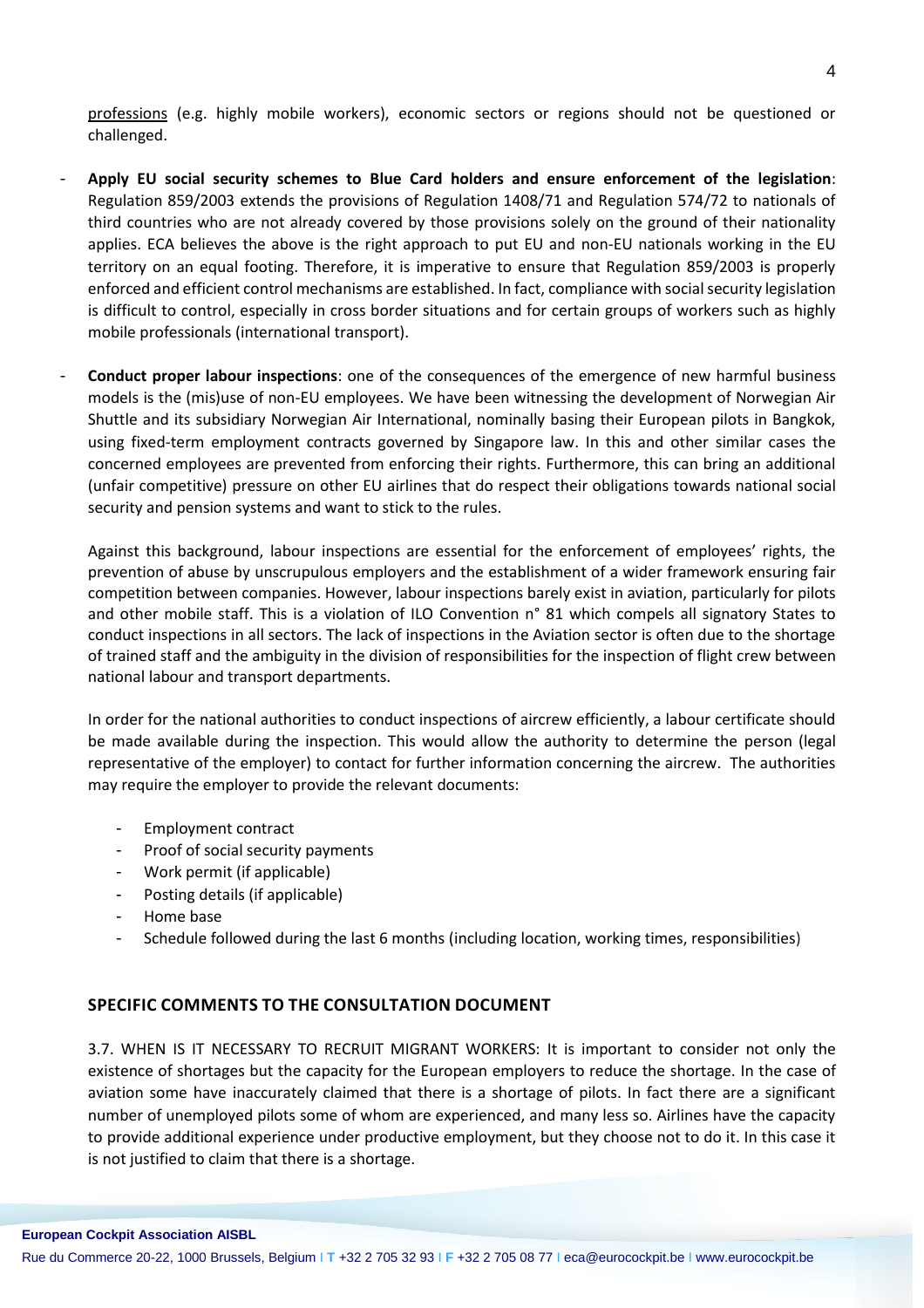professions (e.g. highly mobile workers), economic sectors or regions should not be questioned or challenged.

- **Apply EU social security schemes to Blue Card holders and ensure enforcement of the legislation**: Regulation 859/2003 extends the provisions of Regulation 1408/71 and Regulation 574/72 to nationals of third countries who are not already covered by those provisions solely on the ground of their nationality applies. ECA believes the above is the right approach to put EU and non-EU nationals working in the EU territory on an equal footing. Therefore, it is imperative to ensure that Regulation 859/2003 is properly enforced and efficient control mechanisms are established. In fact, compliance with social security legislation is difficult to control, especially in cross border situations and for certain groups of workers such as highly mobile professionals (international transport).
- **Conduct proper labour inspections**: one of the consequences of the emergence of new harmful business models is the (mis)use of non-EU employees. We have been witnessing the development of Norwegian Air Shuttle and its subsidiary Norwegian Air International, nominally basing their European pilots in Bangkok, using fixed-term employment contracts governed by Singapore law. In this and other similar cases the concerned employees are prevented from enforcing their rights. Furthermore, this can bring an additional (unfair competitive) pressure on other EU airlines that do respect their obligations towards national social security and pension systems and want to stick to the rules.

Against this background, labour inspections are essential for the enforcement of employees' rights, the prevention of abuse by unscrupulous employers and the establishment of a wider framework ensuring fair competition between companies. However, labour inspections barely exist in aviation, particularly for pilots and other mobile staff. This is a violation of ILO Convention n° 81 which compels all signatory States to conduct inspections in all sectors. The lack of inspections in the Aviation sector is often due to the shortage of trained staff and the ambiguity in the division of responsibilities for the inspection of flight crew between national labour and transport departments.

In order for the national authorities to conduct inspections of aircrew efficiently, a labour certificate should be made available during the inspection. This would allow the authority to determine the person (legal representative of the employer) to contact for further information concerning the aircrew. The authorities may require the employer to provide the relevant documents:

- Employment contract
- Proof of social security payments
- Work permit (if applicable)
- Posting details (if applicable)
- Home base
- Schedule followed during the last 6 months (including location, working times, responsibilities)

## **SPECIFIC COMMENTS TO THE CONSULTATION DOCUMENT**

3.7. WHEN IS IT NECESSARY TO RECRUIT MIGRANT WORKERS: It is important to consider not only the existence of shortages but the capacity for the European employers to reduce the shortage. In the case of aviation some have inaccurately claimed that there is a shortage of pilots. In fact there are a significant number of unemployed pilots some of whom are experienced, and many less so. Airlines have the capacity to provide additional experience under productive employment, but they choose not to do it. In this case it is not justified to claim that there is a shortage.